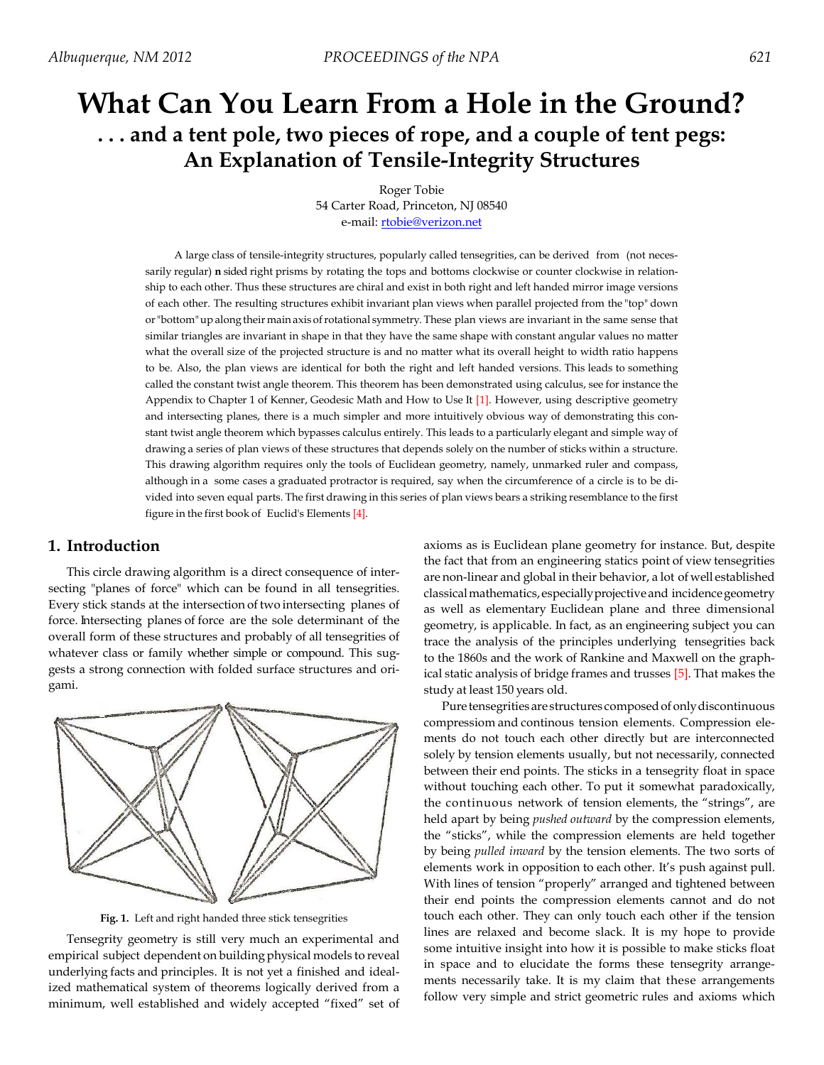# **What Can You Learn From a Hole in the Ground? . . . and a tent pole, two pieces of rope, and a couple of tent pegs: An Explanation of Tensile-Integrity Structures**

Roger Tobie 54 Carter Road, Princeton, NJ 08540 e-mail: **rtobie@verizon.net** 

A large class of tensile-integrity structures, popularly called tensegrities, can be derived from (not necessarily regular) **n** sided right prisms by rotating the tops and bottoms clockwise or counter clockwise in relationship to each other. Thus these structures are chiral and exist in both right and left handed mirror image versions of each other. The resulting structures exhibit invariant plan views when parallel projected from the "top" down or "bottom" up along their main axis of rotational symmetry. These plan views are invariant in the same sense that similar triangles are invariant in shape in that they have the same shape with constant angular values no matter what the overall size of the projected structure is and no matter what its overall height to width ratio happens to be. Also, the plan views are identical for both the right and left handed versions. This leads to something called the constant twist angle theorem. This theorem has been demonstrated using calculus, see for instance the Appendix to Chapter 1 of Kenner, Geodesic Math and How to Use It [1]. However, using descriptive geometry and intersecting planes, there is a much simpler and more intuitively obvious way of demonstrating this constant twist angle theorem which bypasses calculus entirely. This leads to a particularly elegant and simple way of drawing a series of plan views of these structures that depends solely on the number of sticks within a structure. This drawing algorithm requires only the tools of Euclidean geometry, namely, unmarked ruler and compass, although in a some cases a graduated protractor is required, say when the circumference of a circle is to be divided into seven equal parts. The first drawing in this series of plan views bears a striking resemblance to the first figure in the first book of Euclid's Elements [4].

## **1. Introduction**

This circle drawing algorithm is a direct consequence of intersecting "planes of force" which can be found in all tensegrities. Every stick stands at the intersection of two intersecting planes of force. Intersecting planes of force are the sole determinant of the overall form of these structures and probably of all tensegrities of whatever class or family whether simple or compound. This suggests a strong connection with folded surface structures and origami.



**Fig. 1.** Left and right handed three stick tensegrities

Tensegrity geometry is still very much an experimental and empirical subject dependent on building physical models to reveal underlying facts and principles. It is not yet a finished and idealized mathematical system of theorems logically derived from a minimum, well established and widely accepted "fixed" set of axioms as is Euclidean plane geometry for instance. But, despite the fact that from an engineering statics point of view tensegrities are non-linear and global in their behavior, a lot of well established classical mathematics, especially projective and incidence geometry as well as elementary Euclidean plane and three dimensional geometry, is applicable. In fact, as an engineering subject you can trace the analysis of the principles underlying tensegrities back to the 1860s and the work of Rankine and Maxwell on the graphical static analysis of bridge frames and trusses [5]. That makes the study at least 150 years old.

Pure tensegrities are structures composed of only discontinuous compressiom and continous tension elements. Compression elements do not touch each other directly but are interconnected solely by tension elements usually, but not necessarily, connected between their end points. The sticks in a tensegrity float in space without touching each other. To put it somewhat paradoxically, the continuous network of tension elements, the "strings", are held apart by being *pushed outward* by the compression elements, the "sticks", while the compression elements are held together by being *pulled inward* by the tension elements. The two sorts of elements work in opposition to each other. It's push against pull. With lines of tension "properly" arranged and tightened between their end points the compression elements cannot and do not touch each other. They can only touch each other if the tension lines are relaxed and become slack. It is my hope to provide some intuitive insight into how it is possible to make sticks float in space and to elucidate the forms these tensegrity arrangements necessarily take. It is my claim that these arrangements follow very simple and strict geometric rules and axioms which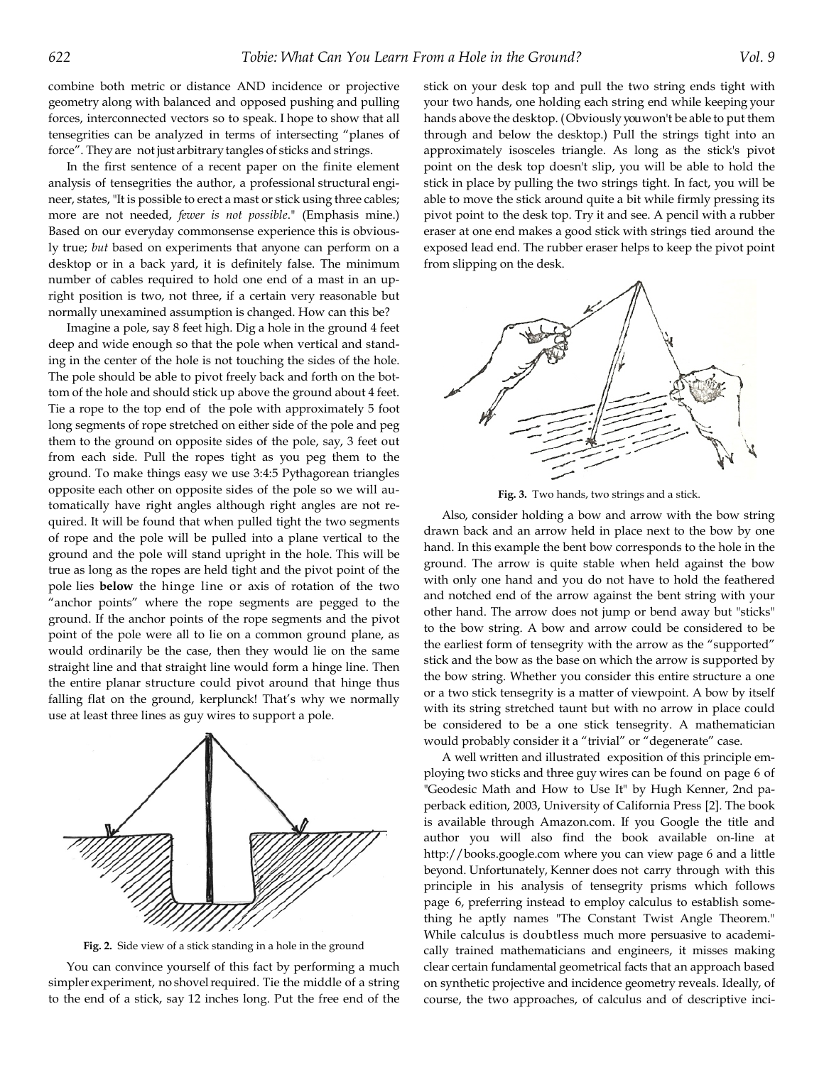combine both metric or distance AND incidence or projective geometry along with balanced and opposed pushing and pulling forces, interconnected vectors so to speak. I hope to show that all tensegrities can be analyzed in terms of intersecting "planes of force". They are not just arbitrary tangles of sticks and strings.

In the first sentence of a recent paper on the finite element analysis of tensegrities the author, a professional structural engineer, states, "It is possible to erect a mast or stick using three cables; more are not needed, *fewer is not possible*." (Emphasis mine.) Based on our everyday commonsense experience this is obviously true; *but* based on experiments that anyone can perform on a desktop or in a back yard, it is definitely false. The minimum number of cables required to hold one end of a mast in an upright position is two, not three, if a certain very reasonable but normally unexamined assumption is changed. How can this be?

Imagine a pole, say 8 feet high. Dig a hole in the ground 4 feet deep and wide enough so that the pole when vertical and standing in the center of the hole is not touching the sides of the hole. The pole should be able to pivot freely back and forth on the bottom of the hole and should stick up above the ground about 4 feet. Tie a rope to the top end of the pole with approximately 5 foot long segments of rope stretched on either side of the pole and peg them to the ground on opposite sides of the pole, say, 3 feet out from each side. Pull the ropes tight as you peg them to the ground. To make things easy we use 3:4:5 Pythagorean triangles opposite each other on opposite sides of the pole so we will automatically have right angles although right angles are not required. It will be found that when pulled tight the two segments of rope and the pole will be pulled into a plane vertical to the ground and the pole will stand upright in the hole. This will be true as long as the ropes are held tight and the pivot point of the pole lies **below** the hinge line or axis of rotation of the two "anchor points" where the rope segments are pegged to the ground. If the anchor points of the rope segments and the pivot point of the pole were all to lie on a common ground plane, as would ordinarily be the case, then they would lie on the same straight line and that straight line would form a hinge line. Then the entire planar structure could pivot around that hinge thus falling flat on the ground, kerplunck! That's why we normally use at least three lines as guy wires to support a pole.



**Fig. 2.** Side view of a stick standing in a hole in the ground

You can convince yourself of this fact by performing a much simpler experiment, no shovel required. Tie the middle of a string to the end of a stick, say 12 inches long. Put the free end of the stick on your desk top and pull the two string ends tight with your two hands, one holding each string end while keeping your hands above the desktop. ( Obviously you won't be able to put them through and below the desktop.) Pull the strings tight into an approximately isosceles triangle. As long as the stick's pivot point on the desk top doesn't slip, you will be able to hold the stick in place by pulling the two strings tight. In fact, you will be able to move the stick around quite a bit while firmly pressing its pivot point to the desk top. Try it and see. A pencil with a rubber eraser at one end makes a good stick with strings tied around the exposed lead end. The rubber eraser helps to keep the pivot point from slipping on the desk.



**Fig. 3.** Two hands, two strings and a stick.

Also, consider holding a bow and arrow with the bow string drawn back and an arrow held in place next to the bow by one hand. In this example the bent bow corresponds to the hole in the ground. The arrow is quite stable when held against the bow with only one hand and you do not have to hold the feathered and notched end of the arrow against the bent string with your other hand. The arrow does not jump or bend away but "sticks" to the bow string. A bow and arrow could be considered to be the earliest form of tensegrity with the arrow as the "supported" stick and the bow as the base on which the arrow is supported by the bow string. Whether you consider this entire structure a one or a two stick tensegrity is a matter of viewpoint. A bow by itself with its string stretched taunt but with no arrow in place could be considered to be a one stick tensegrity. A mathematician would probably consider it a "trivial" or "degenerate" case.

A well written and illustrated exposition of this principle employing two sticks and three guy wires can be found on page 6 of "Geodesic Math and How to Use It" by Hugh Kenner, 2nd paperback edition, 2003, University of California Press [2]. The book is available through Amazon.com. If you Google the title and author you will also find the book available on-line at http://books.google.com where you can view page 6 and a little beyond. Unfortunately, Kenner does not carry through with this principle in his analysis of tensegrity prisms which follows page 6, preferring instead to employ calculus to establish something he aptly names "The Constant Twist Angle Theorem." While calculus is doubtless much more persuasive to academically trained mathematicians and engineers, it misses making clear certain fundamental geometrical facts that an approach based on synthetic projective and incidence geometry reveals. Ideally, of course, the two approaches, of calculus and of descriptive inci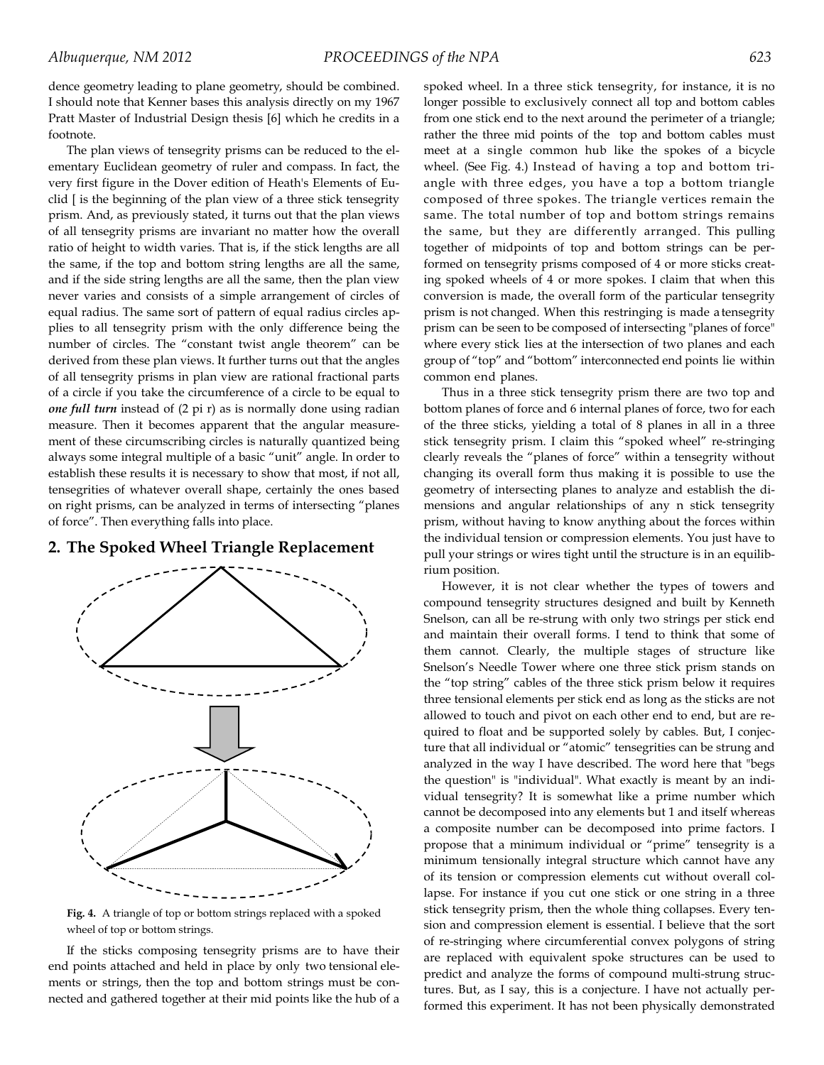dence geometry leading to plane geometry, should be combined. I should note that Kenner bases this analysis directly on my 1967 Pratt Master of Industrial Design thesis [6] which he credits in a footnote.

The plan views of tensegrity prisms can be reduced to the elementary Euclidean geometry of ruler and compass. In fact, the very first figure in the Dover edition of Heath's Elements of Euclid [ is the beginning of the plan view of a three stick tensegrity prism. And, as previously stated, it turns out that the plan views of all tensegrity prisms are invariant no matter how the overall ratio of height to width varies. That is, if the stick lengths are all the same, if the top and bottom string lengths are all the same, and if the side string lengths are all the same, then the plan view never varies and consists of a simple arrangement of circles of equal radius. The same sort of pattern of equal radius circles applies to all tensegrity prism with the only difference being the number of circles. The "constant twist angle theorem" can be derived from these plan views. It further turns out that the angles of all tensegrity prisms in plan view are rational fractional parts of a circle if you take the circumference of a circle to be equal to *one full turn* instead of (2 pi r) as is normally done using radian measure. Then it becomes apparent that the angular measurement of these circumscribing circles is naturally quantized being always some integral multiple of a basic "unit" angle. In order to establish these results it is necessary to show that most, if not all, tensegrities of whatever overall shape, certainly the ones based on right prisms, can be analyzed in terms of intersecting "planes of force". Then everything falls into place.

## **2. The Spoked Wheel Triangle Replacement**



**Fig. 4.** A triangle of top or bottom strings replaced with a spoked wheel of top or bottom strings.

If the sticks composing tensegrity prisms are to have their end points attached and held in place by only two tensional elements or strings, then the top and bottom strings must be connected and gathered together at their mid points like the hub of a spoked wheel. In a three stick tensegrity, for instance, it is no longer possible to exclusively connect all top and bottom cables from one stick end to the next around the perimeter of a triangle; rather the three mid points of the top and bottom cables must meet at a single common hub like the spokes of a bicycle wheel. (See Fig. 4.) Instead of having a top and bottom triangle with three edges, you have a top a bottom triangle composed of three spokes. The triangle vertices remain the same. The total number of top and bottom strings remains the same, but they are differently arranged. This pulling together of midpoints of top and bottom strings can be performed on tensegrity prisms composed of 4 or more sticks creating spoked wheels of 4 or more spokes. I claim that when this conversion is made, the overall form of the particular tensegrity prism is not changed. When this restringing is made a tensegrity prism can be seen to be composed of intersecting "planes of force" where every stick lies at the intersection of two planes and each group of "top" and "bottom" interconnected end points lie within common end planes.

Thus in a three stick tensegrity prism there are two top and bottom planes of force and 6 internal planes of force, two for each of the three sticks, yielding a total of 8 planes in all in a three stick tensegrity prism. I claim this "spoked wheel" re-stringing clearly reveals the "planes of force" within a tensegrity without changing its overall form thus making it is possible to use the geometry of intersecting planes to analyze and establish the dimensions and angular relationships of any n stick tensegrity prism, without having to know anything about the forces within the individual tension or compression elements. You just have to pull your strings or wires tight until the structure is in an equilibrium position.

However, it is not clear whether the types of towers and compound tensegrity structures designed and built by Kenneth Snelson, can all be re-strung with only two strings per stick end and maintain their overall forms. I tend to think that some of them cannot. Clearly, the multiple stages of structure like Snelson's Needle Tower where one three stick prism stands on the "top string" cables of the three stick prism below it requires three tensional elements per stick end as long as the sticks are not allowed to touch and pivot on each other end to end, but are required to float and be supported solely by cables. But, I conjecture that all individual or "atomic" tensegrities can be strung and analyzed in the way I have described. The word here that "begs the question" is "individual". What exactly is meant by an individual tensegrity? It is somewhat like a prime number which cannot be decomposed into any elements but 1 and itself whereas a composite number can be decomposed into prime factors. I propose that a minimum individual or "prime" tensegrity is a minimum tensionally integral structure which cannot have any of its tension or compression elements cut without overall collapse. For instance if you cut one stick or one string in a three stick tensegrity prism, then the whole thing collapses. Every tension and compression element is essential. I believe that the sort of re-stringing where circumferential convex polygons of string are replaced with equivalent spoke structures can be used to predict and analyze the forms of compound multi-strung structures. But, as I say, this is a conjecture. I have not actually performed this experiment. It has not been physically demonstrated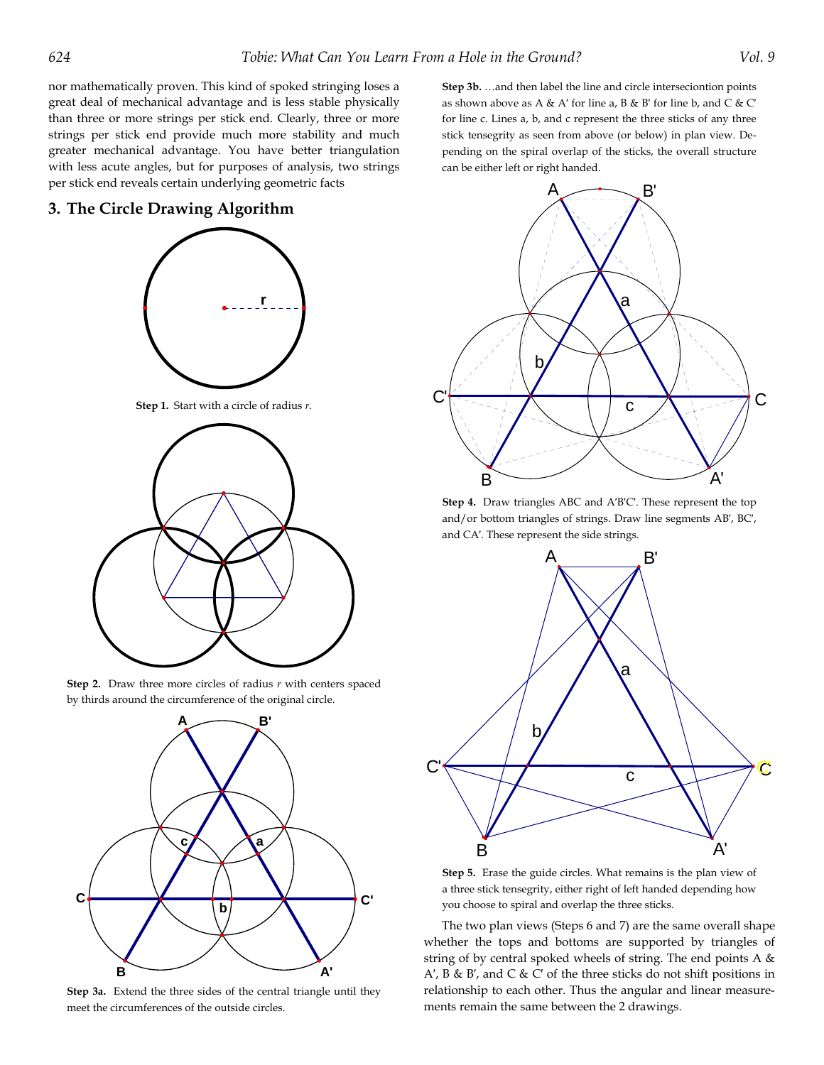nor mathematically proven. This kind of spoked stringing loses a great deal of mechanical advantage and is less stable physically than three or more strings per stick end. Clearly, three or more strings per stick end provide much more stability and much greater mechanical advantage. You have better triangulation with less acute angles, but for purposes of analysis, two strings per stick end reveals certain underlying geometric facts

#### **3. The Circle Drawing Algorithm**



**Step 1.** Start with a circle of radius *r*.



**Step 2.** Draw three more circles of radius *r* with centers spaced by thirds around the circumference of the original circle.



**Step 3a.** Extend the three sides of the central triangle until they meet the circumferences of the outside circles.

**Step 3b.** …and then label the line and circle interseciontion points as shown above as A & A' for line a, B & B' for line b, and C & C' for line c. Lines a, b, and c represent the three sticks of any three stick tensegrity as seen from above (or below) in plan view. Depending on the spiral overlap of the sticks, the overall structure can be either left or right handed.



**Step 4.** Draw triangles ABC and A′B′C′. These represent the top and/or bottom triangles of strings. Draw line segments AB′, BC′, and CA′. These represent the side strings.



**Step 5.** Erase the guide circles. What remains is the plan view of a three stick tensegrity, either right of left handed depending how you choose to spiral and overlap the three sticks.

The two plan views (Steps 6 and 7) are the same overall shape whether the tops and bottoms are supported by triangles of string of by central spoked wheels of string. The end points A & A′, B & B′, and C & C′ of the three sticks do not shift positions in relationship to each other. Thus the angular and linear measurements remain the same between the 2 drawings.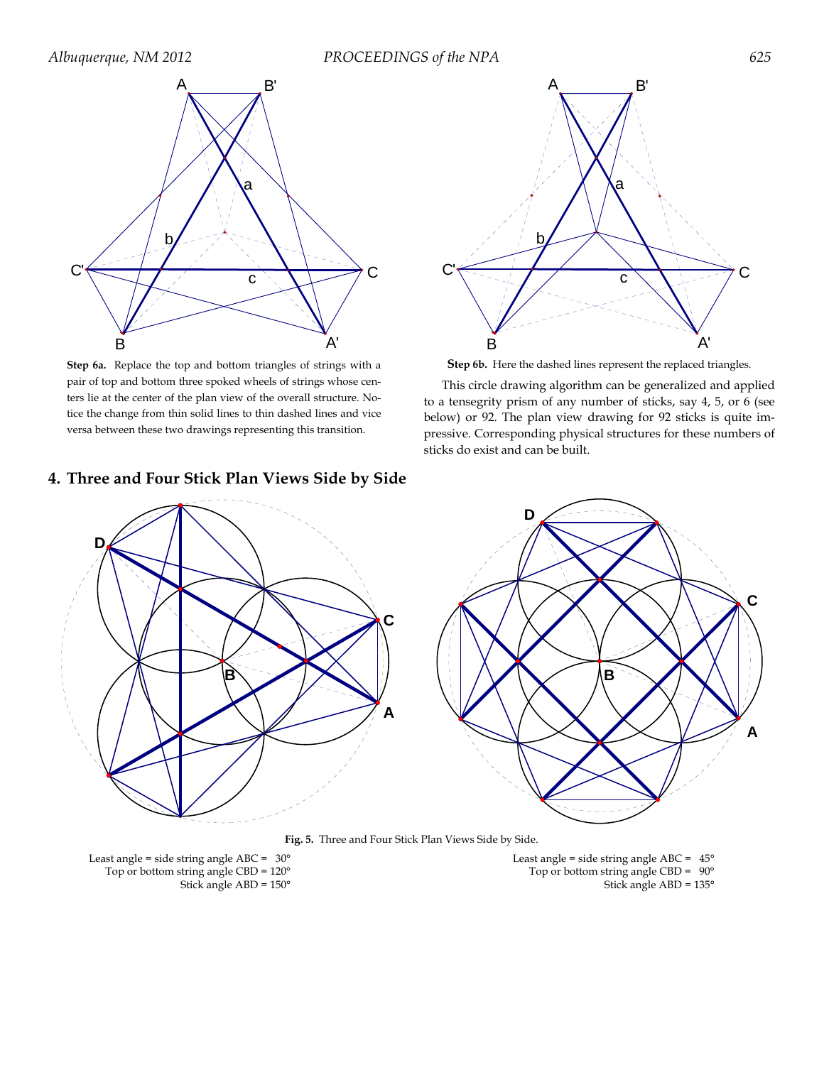

**Step 6a.** Replace the top and bottom triangles of strings with a pair of top and bottom three spoked wheels of strings whose centers lie at the center of the plan view of the overall structure. Notice the change from thin solid lines to thin dashed lines and vice versa between these two drawings representing this transition.

# **4. Three and Four Stick Plan Views Side by Side**



**Step 6b.** Here the dashed lines represent the replaced triangles.

This circle drawing algorithm can be generalized and applied to a tensegrity prism of any number of sticks, say 4, 5, or 6 (see below) or 92. The plan view drawing for 92 sticks is quite impressive. Corresponding physical structures for these numbers of sticks do exist and can be built.



**Fig. 5.** Three and Four Stick Plan Views Side by Side.

Stick angle ABD = 150° Stick angle ABD = 135°

Least angle = side string angle ABC =  $30^{\circ}$ <br>
Top or bottom string angle CBD =  $120^{\circ}$ <br>
Top or bottom string angle CBD =  $90^{\circ}$ Top or bottom string angle CBD =  $120^{\circ}$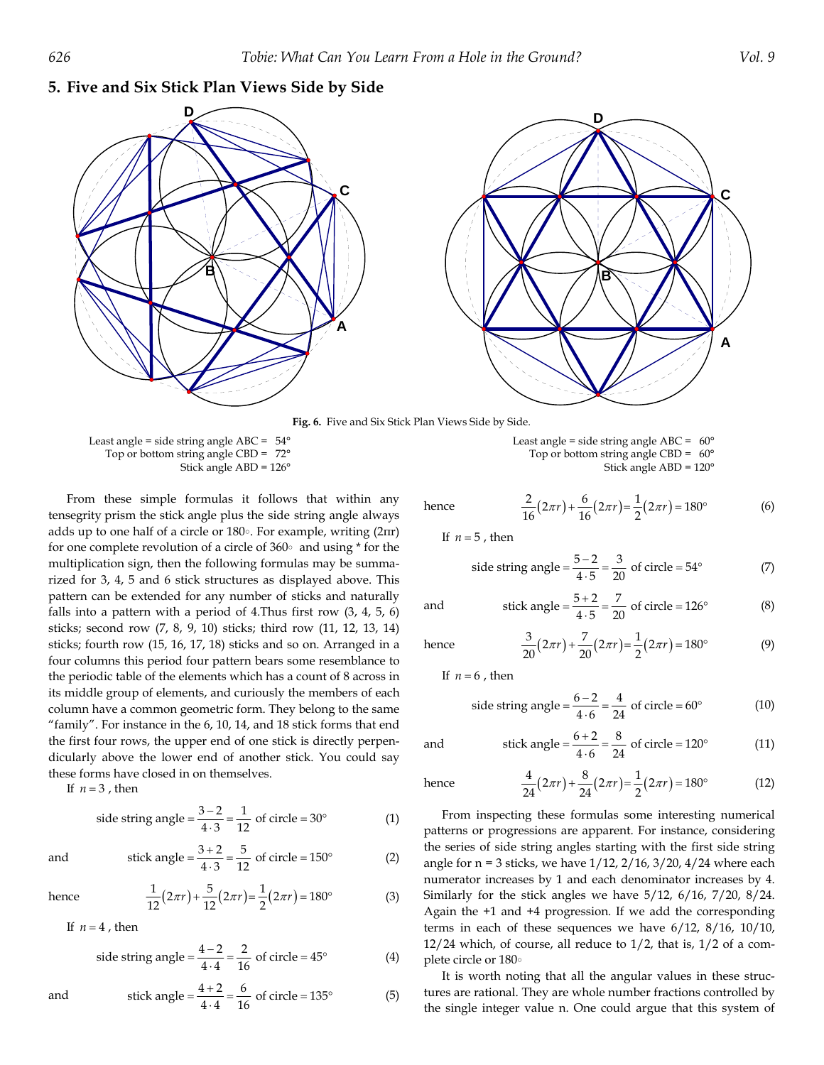## **5. Five and Six Stick Plan Views Side by Side**



 Least angle = side string angle ABC = 54° Least angle = side string angle ABC = 60° Top or bottom string angle CBD =  $72^{\circ}$  Top or bottom string angle CBD =  $60^{\circ}$ Stick angle ABD = 126° Stick angle ABD = 120°

From these simple formulas it follows that within any tensegrity prism the stick angle plus the side string angle always adds up to one half of a circle or 180°. For example, writing (2πr) for one complete revolution of a circle of 360° and using \* for the multiplication sign, then the following formulas may be summarized for 3, 4, 5 and 6 stick structures as displayed above. This pattern can be extended for any number of sticks and naturally falls into a pattern with a period of 4.Thus first row (3, 4, 5, 6) sticks; second row (7, 8, 9, 10) sticks; third row (11, 12, 13, 14) sticks; fourth row (15, 16, 17, 18) sticks and so on. Arranged in a four columns this period four pattern bears some resemblance to the periodic table of the elements which has a count of 8 across in its middle group of elements, and curiously the members of each column have a common geometric form. They belong to the same "family". For instance in the 6, 10, 14, and 18 stick forms that end the first four rows, the upper end of one stick is directly perpendicularly above the lower end of another stick. You could say these forms have closed in on themselves.

If  $n = 3$ , then

side string angle 
$$
=
$$
  $\frac{3-2}{4\cdot 3} = \frac{1}{12}$  of circle  $= 30^{\circ}$  (1)

and stick angle 
$$
=\frac{3+2}{4\cdot 3} = \frac{5}{12}
$$
 of circle  $= 150^{\circ}$  (2)

hence 
$$
\frac{1}{12}(2\pi r) + \frac{5}{12}(2\pi r) = \frac{1}{2}(2\pi r) = 180^{\circ}
$$
 (3)

If  $n = 4$ , then

side string angle 
$$
=\frac{4-2}{4\cdot 4} = \frac{2}{16}
$$
 of circle  $= 45^{\circ}$  (4)

and stick angle 
$$
=\frac{4+2}{4\cdot 4} = \frac{6}{16}
$$
 of circle = 135<sup>o</sup> (5)

hence 
$$
\frac{2}{16}(2\pi r) + \frac{6}{16}(2\pi r) = \frac{1}{2}(2\pi r) = 180^{\circ}
$$
 (6)

side string angle 
$$
=\frac{5-2}{4\cdot 5} = \frac{3}{20}
$$
 of circle  $= 54^{\circ}$  (7)

and stick angle 
$$
=\frac{5+2}{4\cdot 5} = \frac{7}{20}
$$
 of circle  $= 126^{\circ}$  (8)

hence  $\frac{3}{20}(2\pi r) + \frac{7}{20}(2\pi r) = \frac{1}{2}(2\pi r) = 180^{\circ}$  (9)

If  $n = 6$ , then

side string angle = 
$$
\frac{6-2}{4 \cdot 6} = \frac{4}{24}
$$
 of circle = 60° (10)

and stick angle 
$$
=\frac{6+2}{4\cdot 6} = \frac{8}{24}
$$
 of circle = 120° (11)

hence 
$$
\frac{4}{24}(2\pi r) + \frac{8}{24}(2\pi r) = \frac{1}{2}(2\pi r) = 180^{\circ}
$$
 (12)

From inspecting these formulas some interesting numerical patterns or progressions are apparent. For instance, considering the series of side string angles starting with the first side string angle for  $n = 3$  sticks, we have  $1/12$ ,  $2/16$ ,  $3/20$ ,  $4/24$  where each numerator increases by 1 and each denominator increases by 4. Similarly for the stick angles we have 5/12, 6/16, 7/20, 8/24. Again the +1 and +4 progression. If we add the corresponding terms in each of these sequences we have 6/12, 8/16, 10/10,  $12/24$  which, of course, all reduce to  $1/2$ , that is,  $1/2$  of a complete circle or 180°

It is worth noting that all the angular values in these structures are rational. They are whole number fractions controlled by the single integer value n. One could argue that this system of

If  $n = 5$ , then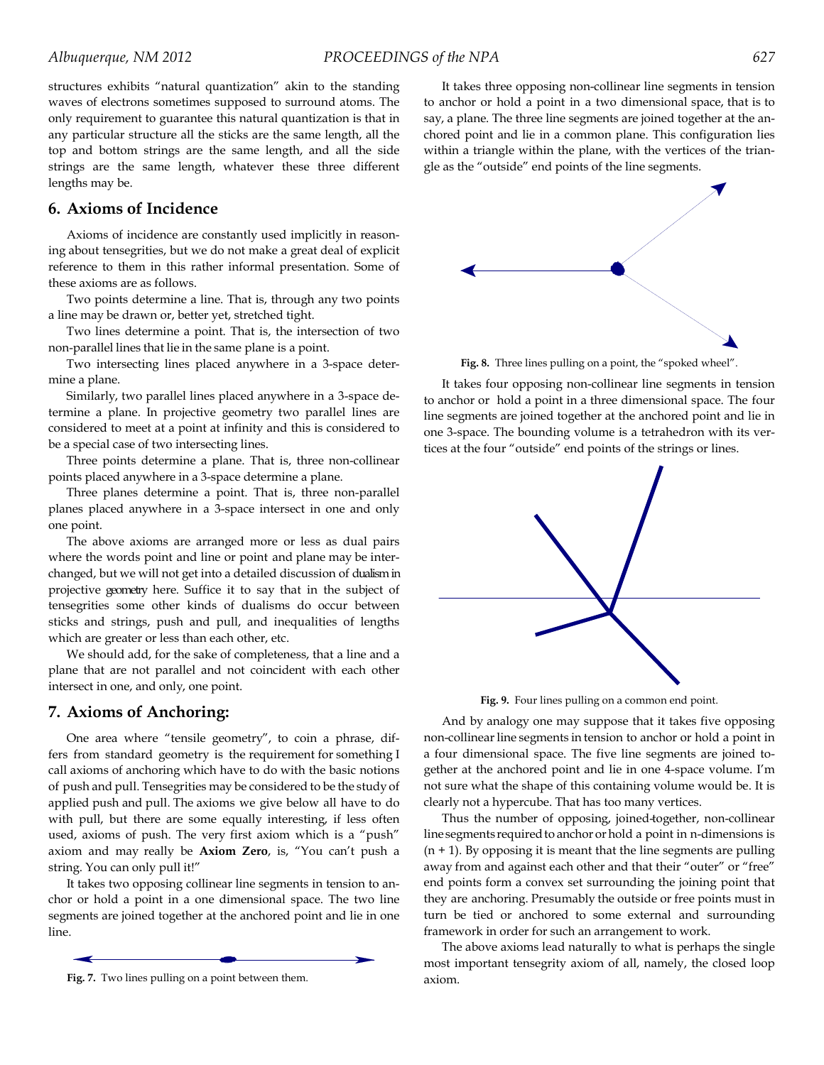structures exhibits "natural quantization" akin to the standing waves of electrons sometimes supposed to surround atoms. The only requirement to guarantee this natural quantization is that in any particular structure all the sticks are the same length, all the top and bottom strings are the same length, and all the side strings are the same length, whatever these three different lengths may be.

## **6. Axioms of Incidence**

Axioms of incidence are constantly used implicitly in reasoning about tensegrities, but we do not make a great deal of explicit reference to them in this rather informal presentation. Some of these axioms are as follows.

Two points determine a line. That is, through any two points a line may be drawn or, better yet, stretched tight.

Two lines determine a point. That is, the intersection of two non-parallel lines that lie in the same plane is a point.

Two intersecting lines placed anywhere in a 3-space determine a plane.

Similarly, two parallel lines placed anywhere in a 3-space determine a plane. In projective geometry two parallel lines are considered to meet at a point at infinity and this is considered to be a special case of two intersecting lines.

Three points determine a plane. That is, three non-collinear points placed anywhere in a 3-space determine a plane.

Three planes determine a point. That is, three non-parallel planes placed anywhere in a 3-space intersect in one and only one point.

The above axioms are arranged more or less as dual pairs where the words point and line or point and plane may be interchanged, but we will not get into a detailed discussion of dualism in projective geometry here. Suffice it to say that in the subject of tensegrities some other kinds of dualisms do occur between sticks and strings, push and pull, and inequalities of lengths which are greater or less than each other, etc.

We should add, for the sake of completeness, that a line and a plane that are not parallel and not coincident with each other intersect in one, and only, one point.

#### **7. Axioms of Anchoring:**

One area where "tensile geometry", to coin a phrase, differs from standard geometry is the requirement for something I call axioms of anchoring which have to do with the basic notions of push and pull. Tensegrities may be considered to be the study of applied push and pull. The axioms we give below all have to do with pull, but there are some equally interesting, if less often used, axioms of push. The very first axiom which is a "push" axiom and may really be **Axiom Zero**, is, "You can't push a string. You can only pull it!"

It takes two opposing collinear line segments in tension to anchor or hold a point in a one dimensional space. The two line segments are joined together at the anchored point and lie in one line.



It takes three opposing non-collinear line segments in tension to anchor or hold a point in a two dimensional space, that is to say, a plane. The three line segments are joined together at the anchored point and lie in a common plane. This configuration lies within a triangle within the plane, with the vertices of the triangle as the "outside" end points of the line segments.



**Fig. 8.** Three lines pulling on a point, the "spoked wheel".

It takes four opposing non-collinear line segments in tension to anchor or hold a point in a three dimensional space. The four line segments are joined together at the anchored point and lie in one 3-space. The bounding volume is a tetrahedron with its vertices at the four "outside" end points of the strings or lines.



**Fig. 9.** Four lines pulling on a common end point.

And by analogy one may suppose that it takes five opposing non-collinear line segments in tension to anchor or hold a point in a four dimensional space. The five line segments are joined together at the anchored point and lie in one 4-space volume. I'm not sure what the shape of this containing volume would be. It is clearly not a hypercube. That has too many vertices.

Thus the number of opposing, joined-together, non-collinear line segments required to anchor or hold a point in n-dimensions is  $(n + 1)$ . By opposing it is meant that the line segments are pulling away from and against each other and that their "outer" or "free" end points form a convex set surrounding the joining point that they are anchoring. Presumably the outside or free points must in turn be tied or anchored to some external and surrounding framework in order for such an arrangement to work.

The above axioms lead naturally to what is perhaps the single most important tensegrity axiom of all, namely, the closed loop axiom.